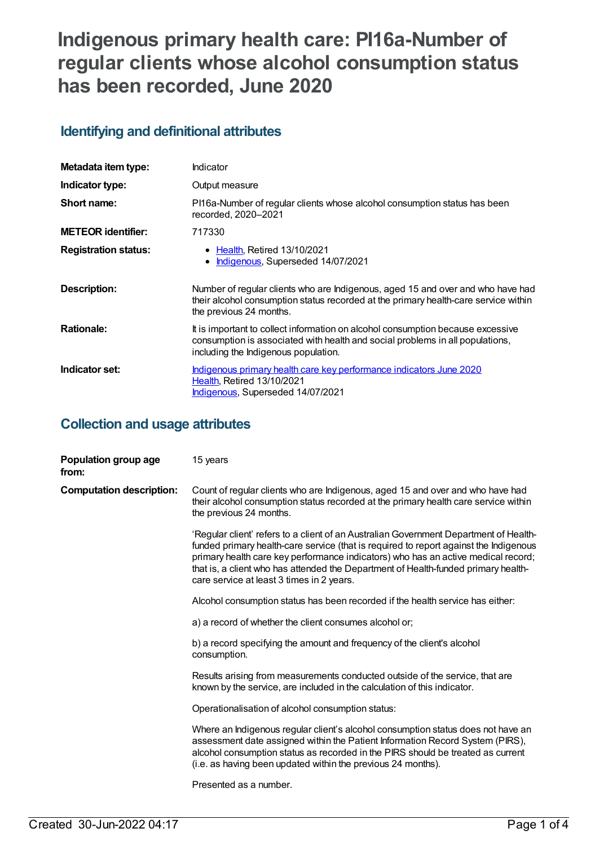# **Indigenous primary health care: PI16a-Number of regular clients whose alcohol consumption status has been recorded, June 2020**

# **Identifying and definitional attributes**

| Metadata item type:         | Indicator                                                                                                                                                                                                |
|-----------------------------|----------------------------------------------------------------------------------------------------------------------------------------------------------------------------------------------------------|
| Indicator type:             | Output measure                                                                                                                                                                                           |
| Short name:                 | PI16a-Number of regular clients whose alcohol consumption status has been<br>recorded, 2020-2021                                                                                                         |
| <b>METEOR</b> identifier:   | 717330                                                                                                                                                                                                   |
| <b>Registration status:</b> | <b>Health, Retired 13/10/2021</b><br>Indigenous, Superseded 14/07/2021                                                                                                                                   |
| Description:                | Number of regular clients who are Indigenous, aged 15 and over and who have had<br>their alcohol consumption status recorded at the primary health-care service within<br>the previous 24 months.        |
| <b>Rationale:</b>           | It is important to collect information on alcohol consumption because excessive<br>consumption is associated with health and social problems in all populations,<br>including the Indigenous population. |
| Indicator set:              | Indigenous primary health care key performance indicators June 2020<br><b>Health. Retired 13/10/2021</b><br><b>Indigenous, Superseded 14/07/2021</b>                                                     |

### **Collection and usage attributes**

| Population group age<br>from:   | 15 years                                                                                                                                                                                                                                                                                                                                                                                               |
|---------------------------------|--------------------------------------------------------------------------------------------------------------------------------------------------------------------------------------------------------------------------------------------------------------------------------------------------------------------------------------------------------------------------------------------------------|
| <b>Computation description:</b> | Count of regular clients who are Indigenous, aged 15 and over and who have had<br>their alcohol consumption status recorded at the primary health care service within<br>the previous 24 months.                                                                                                                                                                                                       |
|                                 | 'Regular client' refers to a client of an Australian Government Department of Health-<br>funded primary health-care service (that is required to report against the Indigenous<br>primary health care key performance indicators) who has an active medical record;<br>that is, a client who has attended the Department of Health-funded primary health-<br>care service at least 3 times in 2 years. |
|                                 | Alcohol consumption status has been recorded if the health service has either:                                                                                                                                                                                                                                                                                                                         |
|                                 | a) a record of whether the client consumes alcohol or;                                                                                                                                                                                                                                                                                                                                                 |
|                                 | b) a record specifying the amount and frequency of the client's alcohol<br>consumption.                                                                                                                                                                                                                                                                                                                |
|                                 | Results arising from measurements conducted outside of the service, that are<br>known by the service, are included in the calculation of this indicator.                                                                                                                                                                                                                                               |
|                                 | Operationalisation of alcohol consumption status:                                                                                                                                                                                                                                                                                                                                                      |
|                                 | Where an Indigenous regular client's alcohol consumption status does not have an<br>assessment date assigned within the Patient Information Record System (PIRS),<br>alcohol consumption status as recorded in the PIRS should be treated as current<br>(i.e. as having been updated within the previous 24 months).                                                                                   |
|                                 | Presented as a number.                                                                                                                                                                                                                                                                                                                                                                                 |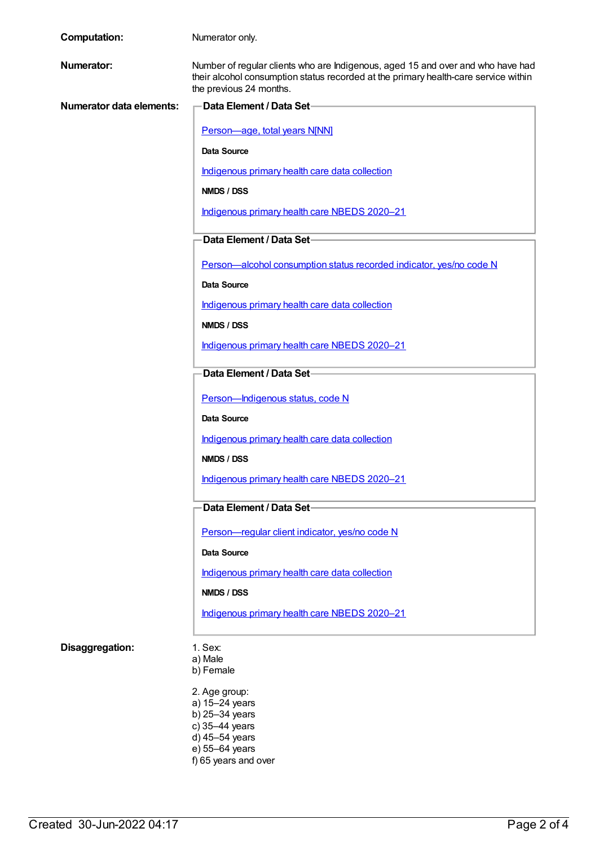| <b>Computation:</b>      | Numerator only.                                                                                                                                                                                   |  |
|--------------------------|---------------------------------------------------------------------------------------------------------------------------------------------------------------------------------------------------|--|
| <b>Numerator:</b>        | Number of regular clients who are Indigenous, aged 15 and over and who have had<br>their alcohol consumption status recorded at the primary health-care service within<br>the previous 24 months. |  |
| Numerator data elements: | Data Element / Data Set-                                                                                                                                                                          |  |
|                          | Person-age, total years N[NN]                                                                                                                                                                     |  |
|                          | <b>Data Source</b>                                                                                                                                                                                |  |
|                          | Indigenous primary health care data collection                                                                                                                                                    |  |
|                          | <b>NMDS / DSS</b>                                                                                                                                                                                 |  |
|                          | Indigenous primary health care NBEDS 2020-21                                                                                                                                                      |  |
|                          | Data Element / Data Set-                                                                                                                                                                          |  |
|                          | Person-alcohol consumption status recorded indicator, yes/no code N                                                                                                                               |  |
|                          | <b>Data Source</b>                                                                                                                                                                                |  |
|                          | Indigenous primary health care data collection                                                                                                                                                    |  |
|                          | NMDS / DSS                                                                                                                                                                                        |  |
|                          | Indigenous primary health care NBEDS 2020-21                                                                                                                                                      |  |
|                          | Data Element / Data Set-                                                                                                                                                                          |  |
|                          |                                                                                                                                                                                                   |  |
|                          | Person-Indigenous status, code N                                                                                                                                                                  |  |
|                          | <b>Data Source</b>                                                                                                                                                                                |  |
|                          | Indigenous primary health care data collection                                                                                                                                                    |  |
|                          | NMDS / DSS                                                                                                                                                                                        |  |
|                          | Indigenous primary health care NBEDS 2020-21                                                                                                                                                      |  |
|                          | Data Element / Data Set-                                                                                                                                                                          |  |
|                          | Person-regular client indicator, yes/no code N                                                                                                                                                    |  |
|                          | Data Source                                                                                                                                                                                       |  |
|                          | Indigenous primary health care data collection                                                                                                                                                    |  |
|                          | NMDS / DSS                                                                                                                                                                                        |  |
|                          | Indigenous primary health care NBEDS 2020-21                                                                                                                                                      |  |
| Disaggregation:          | 1. Sex:                                                                                                                                                                                           |  |
|                          | a) Male<br>b) Female                                                                                                                                                                              |  |
|                          | 2. Age group:                                                                                                                                                                                     |  |
|                          | a) 15-24 years<br>b) 25-34 years                                                                                                                                                                  |  |
|                          | c) 35-44 years                                                                                                                                                                                    |  |

- d) 45–54 years e) 55–64 years
- f) 65 years and over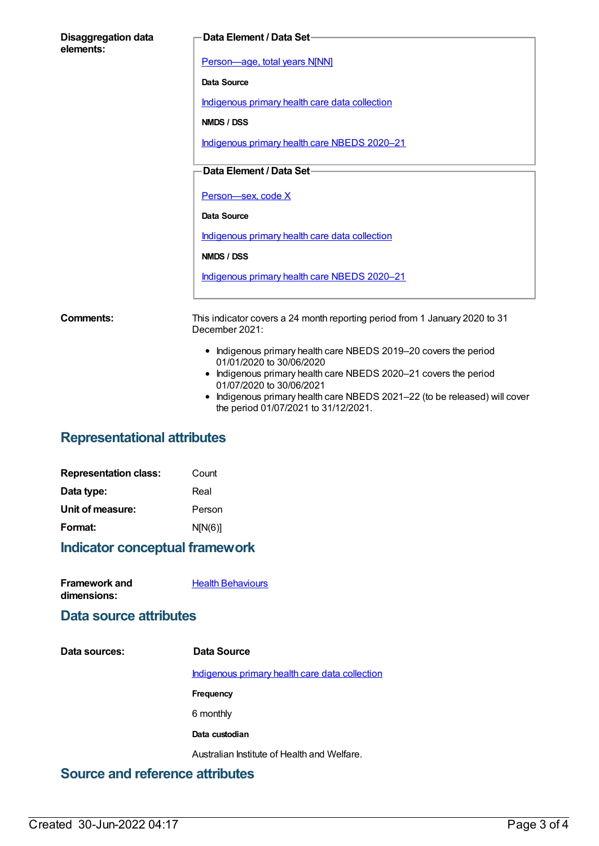| <b>Disaggregation data</b><br>elements: | Data Element / Data Set-                                                                      |
|-----------------------------------------|-----------------------------------------------------------------------------------------------|
|                                         | Person-age, total years N[NN]                                                                 |
|                                         | <b>Data Source</b>                                                                            |
|                                         | Indigenous primary health care data collection                                                |
|                                         | NMDS / DSS                                                                                    |
|                                         | Indigenous primary health care NBEDS 2020-21                                                  |
|                                         | Data Element / Data Set-                                                                      |
|                                         | Person-sex, code X                                                                            |
|                                         | <b>Data Source</b>                                                                            |
|                                         | Indigenous primary health care data collection                                                |
|                                         | NMDS / DSS                                                                                    |
|                                         | Indigenous primary health care NBEDS 2020-21                                                  |
| Comments:                               | This indicator covers a 24 month reporting period from 1 January 2020 to 31<br>December 2021: |
|                                         | • Indigenous primary health care NBEDS 2019-20 covers the period<br>01/01/2020 to 30/06/2020  |
|                                         | Indigenous primary health care NBEDS 2020-21 covers the period<br>01/07/2020 to 30/06/2021    |

Indigenous primary health care NBEDS 2021–22 (to be released) will cover the period 01/07/2021 to 31/12/2021.

# **Representational attributes**

| Count   |
|---------|
| Real    |
| Person  |
| N[N(6)] |
|         |

### **Indicator conceptual framework**

**Framework and dimensions: Health [Behaviours](https://meteor.aihw.gov.au/content/410676)** 

#### **Data source attributes**

| Data sources: | Data Source                                    |
|---------------|------------------------------------------------|
|               | Indigenous primary health care data collection |
|               | Frequency                                      |
|               | 6 monthly                                      |
|               | Data custodian                                 |
|               | Australian Institute of Health and Welfare.    |
|               |                                                |

### **Source and reference attributes**